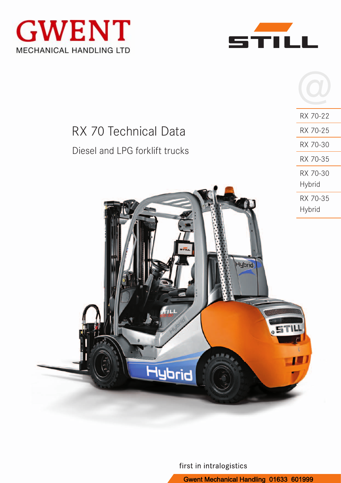





RX 70-22

RX 70-25

RX 70-30

RX 70-35

| RX 70 Technical Data           |  |
|--------------------------------|--|
| Diesel and LPG forklift trucks |  |



first in intralogistics

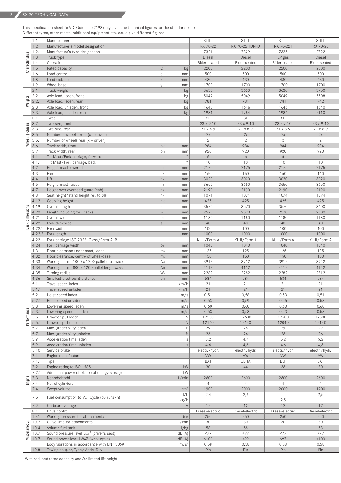This specification sheet to VDI Guideline 2198 only gives the technical figures for the standard truck. Different tyres, other masts, additional equipment etc. could give different figures.

|                  | 1.1     | Manufacturer                                           |                            | STILL              | STILL             | STILL              | STILL              |
|------------------|---------|--------------------------------------------------------|----------------------------|--------------------|-------------------|--------------------|--------------------|
|                  | 1.2     | Manufacturer's model designation                       |                            | RX 70-22           | RX 70-22 TDI-PD   | RX 70-22T          | RX 70-25           |
|                  | 1.2.1   | Manufacture's type designation                         |                            | 7321               | 7329              | 7325               | 7322               |
|                  | 1.3     | Truck type                                             |                            | <b>Diesel</b>      | Diesel            | LP gas             | Diesel             |
| Characteristics  | 1.4     | Operation                                              |                            | Rider seated       | Rider seated      | Rider seated       | Rider seated       |
|                  | 1.5     | Rated capacity                                         | $\Omega$<br>kg             | 2200               | 2200              | 2200               | 2500               |
|                  | 1.6     | Load centre                                            | $\mathbb C$<br>mm          | 500                | 500               | 500                | 500                |
|                  | 1.8     | Load distance                                          | $\mathsf{X}$<br>mm         | 430                | 430               | 430                | 430                |
|                  | 1.9     | Wheel base                                             | mm                         | 1700               | 1700              | 1700               | 1700               |
|                  | 2.1     |                                                        |                            |                    |                   |                    |                    |
|                  |         | Truck weight                                           | kg                         | 3630               | 3630              | 3630               | 3750               |
| Weights          | 2.2     | Axle load, laden, front                                | kg                         | 5049               | 5049              | 5049               | 5508               |
|                  | 2.2.1   | Axle load, laden, rear                                 | kg                         | 781                | 781               | 781                | 742                |
|                  | 2.3     | Axle load, unladen, front                              | kg                         | 1646               | 1646              | 1646               | 1640               |
|                  | 2.3.1   | Axle load, unladen, rear                               | kg                         | 1984               | 1984              | 1984               | 2110               |
|                  | 3.1     | Tyres                                                  |                            | <b>SE</b>          | <b>SE</b>         | SE                 | SE                 |
|                  | 3.2     | Tyre size, front                                       |                            | $23 \times 9 - 10$ | 23 x 9-10         | $23 \times 9 - 10$ | $23 \times 9 - 10$ |
|                  | 3.3     | Tyre size, rear                                        |                            | $21 \times 8 - 9$  | $21 \times 8 - 9$ | $21 \times 8 - 9$  | 21 x 8-9           |
| Wheels   chassis | 3.5     | Number of wheels front $(x =$ driven)                  |                            | 2x                 | 2x                | 2x                 | $2x$               |
|                  | 3.5.1   | Number of wheels rear $(x =$ driven)                   |                            | $\overline{2}$     | $\overline{2}$    | $\overline{2}$     | $\mathbf{2}$       |
|                  | 3.6     | Track width, front                                     | $b_{10}$<br>mm             | 984                | 984               | 984                | 984                |
|                  | 3.7     | Track width, rear                                      | $b_{11}$<br>mm             | 920                | 920               | 920                | 920                |
|                  | 4.1     | Tilt Mast/Fork carriage, forward                       | $\circ$                    | 6                  | 6                 | 6                  | 6                  |
|                  | 4.1.1   | Tilt Mast/Fork carriage, back                          | $\circ$                    | 10                 | 10                | 10                 | 10                 |
|                  | 4.2     | Height, mast lowered                                   | $h_1$<br>mm                | 2175               | 2175              | 2175               | 2175               |
|                  | 4.3     | Free lift                                              | h <sub>2</sub><br>mm       | 160                | 160               | 160                | 160                |
|                  | 4.4     | Lift                                                   | h <sub>3</sub><br>mm       | 3020               | 3020              | 3020               | 3020               |
|                  | 4.5     | Height, mast raised                                    | h <sub>4</sub><br>mm       | 3650               | 3650              | 3650               | 3650               |
|                  | 4.7     | Height over overhead guard (cab)                       | h <sub>6</sub><br>mm       | 2190               | 2190              | 2190               | 2190               |
|                  | 4.8     | Seat height/stand height rel. to SIP                   | h <sub>7</sub>             | 1074               | 1074              | 1074               | 1074               |
|                  | 4.12    | Coupling height                                        | mm<br>$h_{10}$             | 425                | 425               | 425                | 425                |
|                  | 4.19    | Overall length                                         | mm<br>h                    | 3570               | 3570              | 3570               | 3600               |
|                  | 4.20    |                                                        | mm<br>$\vert$ <sub>2</sub> | 2570               | 2570              | 2570               | 2600               |
|                  |         | Length including fork backs<br>Overall width           | mm                         | 1180               |                   | 1180               |                    |
| Basic dimensions | 4.21    |                                                        | $b_1$<br>mm                | 40                 | 1180              | 40                 | 1180<br>40         |
|                  | 4.22    | Fork thickness                                         | $\mathsf S$<br>mm          | 100                | 40<br>100         | 100                | 100                |
|                  | 4.22.1  | Fork width                                             | е<br>mm                    |                    |                   |                    |                    |
|                  | 4.22.2  | Fork length                                            | mm                         | 1000               | 1000              | 1000               | 1000               |
|                  | 4.23    | Fork carriage ISO 2328, Class/Form A, B                |                            | Kl. II/Form A      | Kl. II/Form A     | Kl. II/Form A      | Kl. II/Form A      |
|                  | 4.24    | Fork carriage width                                    | b <sub>3</sub><br>mm       | 1040               | 1040              | 1040               | 1040               |
|                  | 4.31    | Floor clearance under mast, laden                      | m <sub>1</sub><br>mm       | 125                | 125               | 125                | 125                |
|                  | 4.32    | Floor clearance, centre of wheel-base                  | m <sub>2</sub><br>mm       | 150                | 150               | 150                | 150                |
|                  | 4.33    | Working aisle - 1000 x 1200 pallet crosswise           | A <sub>st</sub><br>mm      | 3912               | 3912              | 3912               | 3942               |
|                  | 4.34    | Working aisle - 800 x 1200 pallet lengthways           | A <sub>st</sub><br>mm      | 4112               | 4112              | 4112               | 4142               |
|                  | 4.35    | Turning radius                                         | W <sub>a</sub><br>mm       | 2282               | 2282              | 2282               | 2312               |
|                  | 4.36    | Smallest pivot point distance                          | $b_{13}$<br>mm             | 584                | 584               | 584                | 584                |
|                  | 5.1     | Travel speed laden                                     | km/h                       | 21                 | 21                | 21                 | 21                 |
|                  | 5.1.1   | Travel speed unladen                                   | km/h                       | 21                 | 21                | 21                 | 21                 |
|                  | $5.2\,$ | Hoist speed laden                                      | m/s                        | 0,51               | 0,58              | 0,53               | 0,51               |
|                  | 5.2.1   | Hoist speed unladen                                    | m/s                        | 0,53               | 0,59              | 0,55               | 0,53               |
|                  | 5.3     | Lowering speed laden                                   | m/s                        | 0,60               | 0,60              | 0,60               | 0,60               |
| Performance      | 5.3.1   | Lowering speed unladen                                 | m/s                        | 0,53               | 0,53              | 0,53               | 0,53               |
|                  | 5.5     | Drawbar pull laden                                     | N                          | 17500              | 17600             | 17500              | 17500              |
|                  | 5.5.1   | Drawbar pull unladen                                   | N                          | 12140              | 12140             | 12040              | 12140              |
|                  | 5.7     | Max. gradeability laden                                | $\%$                       | 29                 | 28                | 29                 | 29                 |
|                  | 5.7.1   | Max. gradeability unladen                              | %                          | 26                 | 26                | 26                 | 26                 |
|                  | 5.9     | Acceleration time laden                                | $\mathbb S$                | 5,2                | 4,7               | 5,2                | 5,2                |
|                  | 5.9.1   | Acceleration time unladen                              | $\ensuremath{\mathsf{S}}$  | 4,6                | 4,3               | 4,6                | 4,6                |
|                  | 5.10    | Service brake                                          |                            | electr./hydr.      | electr./hydr.     | electr./hydr.      | electr./hydr.      |
|                  | 7.1     | Engine manufacturer                                    |                            | <b>VW</b>          | <b>VW</b>         | VW                 | <b>VW</b>          |
|                  | 7.1.1   | Type                                                   |                            | <b>BXT</b>         | CBHA              | <b>BEF</b>         | <b>BXT</b>         |
|                  | 7.2     | Engine rating to ISO 1585                              | $\mathsf{k}\mathsf{W}$     | 30                 | 44                | 36                 | 30                 |
|                  | 7.2.1   | Additional power of electrical energy storage          | $\mathsf{k}\mathsf{W}$     |                    |                   |                    |                    |
| Engine           | 7.3     | Nenndrehzahl                                           | 1/min                      | 2600               | 2600              | 2600               | 2600               |
|                  | 7.4     | No. of cylinders                                       |                            | $\overline{4}$     | $\overline{4}$    | $\overline{4}$     | $\overline{4}$     |
|                  | 7.4.1   | Swept volume                                           | cm <sup>3</sup>            | 1900               | 2000              | 2000               | 1900               |
|                  | 7.5     | Fuel consumption to VDI Cycle (60 runs/h)              | 1/h                        | 2,4                | 2,9               |                    | 2,5                |
|                  |         |                                                        | kg/h                       |                    |                   | 2,5                |                    |
|                  | 7.9     | On-board voltage                                       | $\vee$                     | 12                 | 12                | 12                 | 12                 |
|                  | 8.1     | Drive control                                          |                            | Diesel-electric    | Diesel-electric   | Diesel-electric    | Diesel-electric    |
|                  | 10.1    | Working pressure for attachments                       | bar                        | 250                | 250               | 250                | 250                |
|                  | 10.2    | Oil volume for attachments                             | 1/min                      | 30                 | 30                | 30                 | 30                 |
|                  | 10.4    | Volume fuel tank                                       | 1/kg                       | 58                 | 58                | 11                 | 58                 |
| Miscellaneous    | 10.7    | Sound pressure level LPAZ <sup>1</sup> (driver's seat) | dB(A)                      | <77                | <77               | <77                | <77                |
|                  | 10.7.1  | Sound power level LWAZ (work cycle)                    | dB(A)                      | 100                | < 99              | < 97               | 100                |
|                  |         | Body vibrations in accordance with EN 13059            | m/s <sup>2</sup>           | 0,58               | 0,58              | 0,58               | 0,58               |
|                  | 10.8    | Towing coupler, Type/Model DIN                         |                            | Pin                | Pin               | Pin                | Pin                |

<sup>1</sup> With reduced rated capacity and/or limited lift height.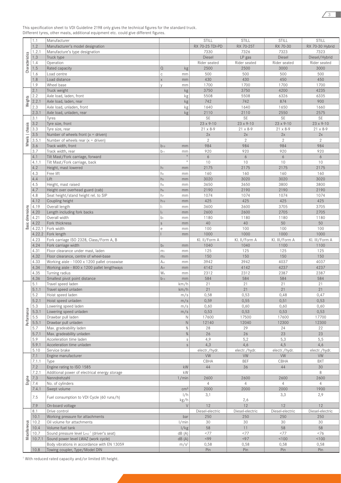|                  |        | Manufacturer                                           |                       | <b>STILL</b>       | <b>STILL</b>       | STILL              | STILL              |
|------------------|--------|--------------------------------------------------------|-----------------------|--------------------|--------------------|--------------------|--------------------|
|                  | 1.1    |                                                        |                       |                    |                    |                    |                    |
|                  | 1.2    | Manufacturer's model designation                       |                       | RX 70-25 TDI-PD    | RX 70-25T          | RX 70-30           | RX 70-30 Hybrid    |
|                  | 1.2.1  | Manufacture's type designation                         |                       | 7330               | 7326               | 7323               | 7323               |
| Characteristics  | 1.3    | Truck type                                             |                       | Diesel             | LP gas             | Diesel             | Diesel/Hybrid      |
|                  | 1.4    | Operation                                              |                       | Rider seated       | Rider seated       | Rider seated       | Rider seated       |
|                  | 1.5    | Rated capacity                                         | $\Omega$<br>kg        | 2500               | 2500               | 3000               | 3000               |
|                  | 1.6    | Load centre                                            | $\mathbf C$<br>mm     | 500                | 500                | 500                | 500                |
|                  | 1.8    | Load distance                                          | $\mathsf{X}$<br>mm    | 430                | 430                | 450                | 450                |
|                  |        |                                                        |                       |                    |                    |                    |                    |
|                  | 1.9    | Wheel base                                             | mm<br>$\vee$          | 1700               | 1700               | 1700               | 1700               |
|                  | 2.1    | Truck weight                                           | kg                    | 3750               | 3750               | 4200               | 4235               |
|                  | 2.2    | Axle load, laden, front                                | kg                    | 5508               | 5508               | 6326               | 6335               |
| Weights          | 2.2.1  | Axle load, laden, rear                                 | kg                    | 742                | 742                | 874                | 900                |
|                  | 2.3    | Axle load, unladen, front                              | kg                    | 1640               | 1640               | 1650               | 1660               |
|                  | 2.3.1  | Axle load, unladen, rear                               | kg                    | 2110               | 2110               | 2550               | 2575               |
|                  |        |                                                        |                       |                    |                    |                    |                    |
|                  | 3.1    | Tyres                                                  |                       | <b>SE</b>          | SE                 | <b>SE</b>          | SE                 |
|                  | 3.2    | Tyre size, front                                       |                       | $23 \times 9 - 10$ | $23 \times 9 - 10$ | $23 \times 9 - 10$ | $23 \times 9 - 10$ |
| Wheels   chassis | 3.3    | Tyre size, rear                                        |                       | $21 \times 8 - 9$  | $21 \times 8 - 9$  | $21 \times 8 - 9$  | $21 \times 8 - 9$  |
|                  | 3.5    | Number of wheels front $(x =$ driven)                  |                       | 2x                 | 2x                 | 2x                 | 2x                 |
|                  | 3.5.1  | Number of wheels rear $(x =$ driven)                   |                       | $\overline{2}$     | $\overline{2}$     | $\overline{2}$     | $\overline{2}$     |
|                  | 3.6    |                                                        |                       | 984                | 984                | 984                | 984                |
|                  |        | Track width, front                                     | $b_{10}$<br>mm        |                    |                    |                    |                    |
|                  | 3.7    | Track width, rear                                      | $b_{11}$<br>mm        | 920                | 920                | 920                | 920                |
|                  | 4.1    | Tilt Mast/Fork carriage, forward                       | $\circ$               | 6                  | 6                  | 6                  | 6                  |
|                  | 4.1.1  | Tilt Mast/Fork carriage, back                          | $\circ$               | 10                 | 10                 | 10                 | 10                 |
|                  | 4.2    | Height, mast lowered                                   | $h_1$<br>mm           | 2175               | 2175               | 2175               | 2175               |
|                  | 4.3    | Free lift                                              | h <sub>2</sub><br>mm  | 160                | 160                | 160                | 160                |
|                  |        |                                                        |                       |                    |                    |                    |                    |
|                  | 4.4    | Lift                                                   | h <sub>3</sub><br>mm  | 3020               | 3020               | 3020               | 3020               |
|                  | 4.5    | Height, mast raised                                    | h <sub>4</sub><br>mm  | 3650               | 3650               | 3800               | 3800               |
|                  | 4.7    | Height over overhead guard (cab)                       | h <sub>6</sub><br>mm  | 2190               | 2190               | 2190               | 2190               |
|                  | 4.8    | Seat height/stand height rel. to SIP                   | h <sub>7</sub><br>mm  | 1074               | 1074               | 1074               | 1074               |
|                  | 4.12   | Coupling height                                        | $h_{10}$<br>mm        | 425                | 425                | 425                | 425                |
|                  | 4.19   |                                                        | h.<br>mm              | 3600               | 3600               | 3705               | 3705               |
| Basic dimensions |        | Overall length                                         |                       |                    |                    |                    |                    |
|                  | 4.20   | Length including fork backs                            | $\vert_2$<br>mm       | 2600               | 2600               | 2705               | 2705               |
|                  | 4.21   | Overall width                                          | $b_1$<br>mm           | 1180               | 1180               | 1180               | 1180               |
|                  | 4.22   | Fork thickness                                         | S<br>mm               | 40                 | 40                 | 50                 | 50                 |
|                  | 4.22.1 | Fork width                                             | е<br>mm               | 100                | 100                | 100                | 100                |
|                  | 4.22.2 | Fork length                                            | mm                    | 1000               | 1000               | 1000               | 1000               |
|                  |        |                                                        |                       |                    |                    |                    |                    |
|                  | 4.23   | Fork carriage ISO 2328, Class/Form A, B                |                       | Kl. II/Form A      | Kl. II/Form A      | KI. III/Form A     | Kl. III/Form A     |
|                  | 4.24   | Fork carriage width                                    | b <sub>3</sub><br>mm  | 1040               | 1040               | 1100               | 1100               |
|                  | 4.31   | Floor clearance under mast, laden                      | m <sub>1</sub><br>mm  | 125                | 125                | 125                | 125                |
|                  | 4.32   | Floor clearance, centre of wheel-base                  | m <sub>2</sub><br>mm  | 150                | 150                | 150                | 150                |
|                  | 4.33   | Working aisle - 1000 x 1200 pallet crosswise           | A <sub>st</sub><br>mm | 3942               | 3942               | 4037               | 4037               |
|                  | 4.34   | Working aisle - 800 x 1200 pallet lengthways           | A <sub>st</sub><br>mm | 4142               | 4142               | 4237               | 4237               |
|                  | 4.35   | Turning radius                                         | Wa                    | 2312               | 2312               | 2387               | 2387               |
|                  |        |                                                        | mm                    |                    |                    |                    |                    |
|                  | 4.36   | Smallest pivot point distance                          | $b_{13}$<br>mm        | 584                | 584                | 584                | 584                |
|                  | 5.1    | Travel speed laden                                     | km/h                  | 21                 | 21                 | 21                 | 21                 |
|                  | 5.1.1  | Travel speed unladen                                   | km/h                  | 21                 | 21                 | 21                 | 21                 |
|                  | 5.2    | Hoist speed laden                                      | m/s                   | 0,58               | 0,53               | 0,48               | 0,47               |
|                  | 5.2.1  | Hoist speed unladen                                    | m/s                   | 0,59               | 0,55               | 0,51               | 0,53               |
|                  | 5.3    | Lowering speed laden                                   | m/s                   | 0,60               | 0,60               | 0,60               | 0,60               |
|                  |        |                                                        |                       |                    |                    |                    |                    |
| Performance      | 5.3.1  | Lowering speed unladen                                 | m/s                   | 0,53               | 0,53               | 0,53               | 0,53               |
|                  | 5.5    | Drawbar pull laden                                     | $\mathbb N$           | 17600              | 17500              | 17600              | 17700              |
|                  | 5.5.1  | Drawbar pull unladen                                   | $\hbox{N}$            | 12140              | 12040              | 12300              | 12300              |
|                  | 5.7    | Max. gradeability laden                                | $\%$                  | 28                 | 29                 | 24                 | 22                 |
|                  | 5.7.1  | Max. gradeability unladen                              | $\%$                  | 26                 | 26                 | 23                 | 23                 |
|                  | 5.9    | Acceleration time laden                                | $\mathbb S$           | 4,9                | 5,2                | 5,3                | 5,5                |
|                  | 5.9.1  |                                                        | $\mathsf{s}$          | 4,3                | 4,6                | 4,5                | 4,6                |
|                  |        | Acceleration time unladen                              |                       |                    |                    |                    |                    |
|                  | 5.10   | Service brake                                          |                       | electr./hydr.      | electr./hydr.      | electr./hydr.      | electr./hydr.      |
|                  | 7.1    | Engine manufacturer                                    |                       | <b>VW</b>          | <b>VW</b>          | <b>VW</b>          | <b>VW</b>          |
|                  | 7.1.1  | Type                                                   |                       | CBHA               | <b>BEF</b>         | CBHA               | <b>BXT</b>         |
|                  | 7.2    | Engine rating to ISO 1585                              | kW                    | 44                 | 36                 | 44                 | 30                 |
|                  | 7.2.1  | Additional power of electrical energy storage          | kW                    |                    |                    |                    | 8                  |
|                  | 7.3    | Nenndrehzahl                                           | 1/min                 | 2600               | 2600               | 2600               | 2600               |
| Engine           |        |                                                        |                       |                    |                    |                    |                    |
|                  | 7.4    | No. of cylinders                                       |                       | $\overline{4}$     | $\overline{4}$     | $\overline{4}$     | $\overline{4}$     |
|                  | 7.4.1  | Swept volume                                           | cm <sup>3</sup>       | 2000               | 2000               | 2000               | 1900               |
|                  |        |                                                        | 1/h                   | 3,1                |                    | 3,3                | 2,9                |
|                  | 7.5    | Fuel consumption to VDI Cycle (60 runs/h)              | kg/h                  |                    | 2,6                |                    |                    |
|                  | 7.9    | On-board voltage                                       | $\vee$                | 12                 | 12                 | 12                 | 12                 |
|                  | 8.1    | Drive control                                          |                       | Diesel-electric    | Diesel-electric    | Diesel-electric    | Diesel-electric    |
|                  |        |                                                        |                       |                    |                    |                    |                    |
|                  | 10.1   | Working pressure for attachments                       | bar                   | 250                | 250                | 250                | 250                |
| Miscellaneous    | 10.2   | Oil volume for attachments                             | 1/min                 | 30                 | 30                 | 30                 | 30                 |
|                  | 10.4   | Volume fuel tank                                       | 1/kg                  | 58                 | 11                 | 58                 | 58                 |
|                  | 10.7   | Sound pressure level LPAZ <sup>1</sup> (driver's seat) | dB(A)                 | <77                | <77                | <77                | <76                |
|                  | 10.7.1 | Sound power level LWAZ (work cycle)                    | dB(A)                 | < 99               | < 97               | 100                | 100                |
|                  |        | Body vibrations in accordance with EN 13059            | m/s <sup>2</sup>      | 0,58               | 0,58               | 0,58               | 0,58               |
|                  |        |                                                        |                       |                    |                    |                    |                    |
|                  | 10.8   | Towing coupler, Type/Model DIN                         |                       | Pin                | Pin                | Pin                | Pin                |

This specification sheet to VDI Guideline 2198 only gives the technical figures for the standard truck. Different tyres, other masts, additional equipment etc. could give different figures.

<sup>1</sup> With reduced rated capacity and/or limited lift height.

 $\overline{3}$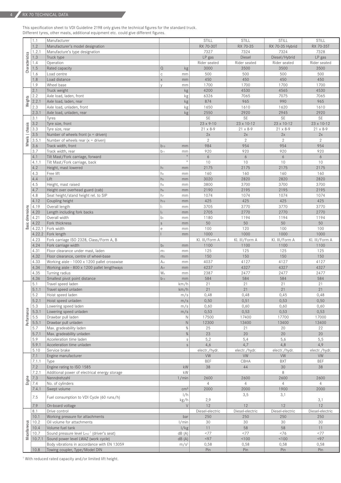This specification sheet to VDI Guideline 2198 only gives the technical figures for the standard truck. Different tyres, other masts, additional equipment etc. could give different figures.

|                  | 1.1    | Manufacturer                                           |                         |                  | STILL              | STILL             | <b>STILL</b>      | <b>STILL</b>    |
|------------------|--------|--------------------------------------------------------|-------------------------|------------------|--------------------|-------------------|-------------------|-----------------|
|                  | 1.2    | Manufacturer's model designation                       |                         |                  | RX 70-30T          | RX 70-35          | RX 70-35 Hybrid   | RX 70-35T       |
|                  | 1.2.1  | Manufacture's type designation                         |                         |                  | 7327               | 7324              | 7324              | 7328            |
| Characteristics  | 1.3    | Truck type                                             |                         |                  | LP gas             | Diesel            | Diesel/Hybrid     | LP gas          |
|                  | 1.4    | Operation                                              |                         |                  | Rider seated       | Rider seated      | Rider seated      | Rider seated    |
|                  | 1.5    | Rated capacity                                         | $\Omega$                | kg               | 3000               | 3500              | 3500              | 3500            |
|                  | 1.6    | Load centre                                            | C                       | mm               | 500                | 500               | 500               | 500             |
|                  | 1.8    | Load distance                                          | $\overline{\mathsf{x}}$ | mm               | 450                | 450               | 450               | 450             |
|                  | 1.9    | Wheel base                                             | V                       | mm               | 1700               | 1700              | 1700              | 1700            |
|                  | 2.1    | Truck weight                                           |                         | kg               | 4200               | 4530              | 4565              | 4530            |
|                  | 2.2    | Axle load, laden, front                                |                         | kg               | 6326               | 7065              | 7075              | 7065            |
| Weights          | 2.2.1  | Axle load, laden, rear                                 |                         | kg               | 874                | 965               | 990               | 965             |
|                  | 2.3    | Axle load, unladen, front                              |                         | kg               | 1650               | 1610              | 1620              | 1610            |
|                  | 2.3.1  | Axle load, unladen, rear                               |                         | kg               | 2550               | 2920              | 2945              | 2920            |
|                  |        |                                                        |                         |                  |                    | SE                |                   |                 |
|                  | 3.1    | Tyres                                                  |                         |                  | <b>SE</b>          |                   | <b>SE</b>         | <b>SE</b>       |
|                  | 3.2    | Tyre size, front                                       |                         |                  | $23 \times 9 - 10$ | 23 x 10-12        | 23 x 10-12        | 23 x 10-12      |
|                  | 3.3    | Tyre size, rear                                        |                         |                  | 21 x 8-9           | $21 \times 8 - 9$ | $21 \times 8 - 9$ | 21 x 8-9        |
| Wheels   chassis | 3.5    | Number of wheels front $(x =$ driven)                  |                         |                  | 2x                 | 2x                | 2x                | 2x              |
|                  | 3.5.1  | Number of wheels rear $(x =$ driven)                   |                         |                  | $\overline{2}$     | $\overline{2}$    | $\overline{2}$    | $\mathbf{2}$    |
|                  | 3.6    | Track width, front                                     | $b_{10}$                | mm               | 984                | 954               | 954               | 954             |
|                  | 3.7    | Track width, rear                                      | $b_{11}$                | mm               | 920                | 920               | 920               | 920             |
|                  | 4.1    | Tilt Mast/Fork carriage, forward                       |                         | $\circ$          | 6                  | 6                 | 6                 | 6               |
|                  | 4.1.1  | Tilt Mast/Fork carriage, back                          |                         | $\circ$          | 10                 | 10                | 10                | 10              |
|                  | 4.2    | Height, mast lowered                                   | $h_1$                   | mm               | 2175               | 2175              | 2175              | 2175            |
|                  | 4.3    | Free lift                                              | h <sub>2</sub>          | mm               | 160                | 160               | 160               | 160             |
|                  | 4.4    | Lift                                                   | h <sub>3</sub>          | mm               | 3020               | 2820              | 2820              | 2820            |
|                  | 4.5    | Height, mast raised                                    | h <sub>4</sub>          |                  | 3800               | 3700              | 3700              | 3700            |
|                  | 4.7    |                                                        |                         | mm               |                    | 2195              |                   |                 |
|                  |        | Height over overhead guard (cab)                       | h <sub>6</sub>          | mm               | 2190               |                   | 2195              | 2195            |
|                  | 4.8    | Seat height/stand height rel. to SIP                   | h <sub>7</sub>          | mm               | 1074               | 1074              | 1074              | 1074            |
|                  | 4.12   | Coupling height                                        | $h_{10}$                | mm               | 425                | 425               | 425               | 425             |
| Basic dimensions | 4.19   | Overall length                                         | h.                      | mm               | 3705               | 3770              | 3770              | 3770            |
|                  | 4.20   | Length including fork backs                            | $\vert_2$               | mm               | 2705               | 2770              | 2770              | 2770            |
|                  | 4.21   | Overall width                                          | $b_1$                   | mm               | 1180               | 1194              | 1194              | 1194            |
|                  | 4.22   | Fork thickness                                         | $\mathsf S$             | mm               | 50                 | 50                | 50                | 50              |
|                  | 4.22.1 | Fork width                                             | e                       | mm               | 100                | 120               | 100               | 100             |
|                  | 4.22.2 | Fork length                                            |                         | mm               | 1000               | 1000              | 1000              | 1000            |
|                  | 4.23   | Fork carriage ISO 2328, Class/Form A, B                |                         |                  | Kl. III/Form A     | Kl. III/Form A    | Kl. III/Form A    | Kl. III/Form A  |
|                  | 4.24   | Fork carriage width                                    | b <sub>3</sub>          | mm               | 1100               | 1100              | 1100              | 1100            |
|                  | 4.31   | Floor clearance under mast, laden                      | m <sub>1</sub>          | mm               | 125                | 125               | 125               | 125             |
|                  | 4.32   | Floor clearance, centre of wheel-base                  | m <sub>2</sub>          | mm               | 150                | 150               | 150               | 150             |
|                  | 4.33   | Working aisle - 1000 x 1200 pallet crosswise           | Ast                     | mm               | 4037               | 4127              | 4127              | 4127            |
|                  | 4.34   | Working aisle - 800 x 1200 pallet lengthways           | A <sub>st</sub>         | mm               | 4237               | 4327              | 4327              | 4327            |
|                  | 4.35   | Turning radius                                         | W <sub>a</sub>          |                  | 2387               | 2477              | 2477              | 2477            |
|                  |        |                                                        |                         | mm               |                    |                   |                   |                 |
|                  | 4.36   | Smallest pivot point distance                          | $b_{13}$                | mm               | 584                | 584               | 584               | 584             |
|                  | 5.1    | Travel speed laden                                     |                         | km/h             | 21                 | 21                | 21                | 21              |
|                  | 5.1.1  | Travel speed unladen                                   |                         | km/h             | 21                 | 21                | 21                | 21              |
|                  | 5.2    | Hoist speed laden                                      |                         | m/s              | 0,48               | 0,48              | 0,45              | 0,48            |
|                  | 5.2.1  | Hoist speed unladen                                    |                         | m/s              | 0,50               | 0,51              | 0,53              | 0,50            |
|                  | 5.3    | Lowering speed laden                                   |                         | m/s              | 0,60               | 0,60              | 0,60              | 0,60            |
|                  | 5.3.1  | Lowering speed unladen                                 |                         | m/s              | 0,53               | 0,53              | 0,53              | 0,53            |
| Performance      | 5.5    | Drawbar pull laden                                     |                         | Ν                | 17500              | 17400             | 17700             | 17000           |
|                  | 5.5.1  | Drawbar pull unladen                                   |                         | $\hbox{N}$       | 12300              | 13400             | 13400             | 13400           |
|                  | 5.7    | Max. gradeability laden                                |                         | $\%$             | 25                 | 21                | 20                | 22              |
|                  | 5.7.1  | Max. gradeability unladen                              |                         | $\%$             | 23                 | 20                | 20                | 20              |
|                  | 5.9    | Acceleration time laden                                |                         | $\mathbf S$      | 5,2                | 5,4               | 5,6               | 5,5             |
|                  | 5.9.1  | Acceleration time unladen                              |                         | s                | 4,6                | 4,7               | 4,8               | 4,9             |
|                  | 5.10   | Service brake                                          |                         |                  | electr./hydr.      | electr./hydr.     | electr./hydr.     | electr./hydr.   |
|                  | 7.1    | Engine manufacturer                                    |                         |                  | <b>VW</b>          | <b>VW</b>         | VW                | <b>VW</b>       |
|                  | 7.1.1  | Type                                                   |                         |                  | <b>BEF</b>         | CBHA              | <b>BXT</b>        | <b>BEF</b>      |
|                  | 7.2    | Engine rating to ISO 1585                              |                         | kW               | 38                 | 44                | 30                | 38              |
|                  | 7.2.1  | Additional power of electrical energy storage          |                         | kW               |                    |                   | 8                 |                 |
|                  | 7.3    | Nenndrehzahl                                           |                         | 1/min            | 2600               | 2600              | 2600              | 2600            |
| Engine           | 7.4    | No. of cylinders                                       |                         |                  | $\overline{4}$     | $\overline{4}$    | $\overline{4}$    | $\overline{4}$  |
|                  |        |                                                        |                         |                  |                    |                   |                   |                 |
|                  | 7.4.1  | Swept volume                                           |                         | cm <sup>3</sup>  | 2000               | 2000              | 1900              | 2000            |
|                  | 7.5    | Fuel consumption to VDI Cycle (60 runs/h)              |                         | 1/h              |                    | 3,5               | 3,1               |                 |
|                  |        |                                                        |                         | kg/h             | 2,9                |                   |                   | 3,1             |
|                  | 7.9    | On-board voltage                                       |                         | $\vee$           | $12$               | 12                | 12                | $12$            |
|                  | 8.1    | Drive control                                          |                         |                  | Diesel-electric    | Diesel-electric   | Diesel-electric   | Diesel-electric |
|                  | 10.1   | Working pressure for attachments                       |                         | bar              | 250                | 250               | 250               | 250             |
|                  | 10.2   | Oil volume for attachments                             |                         | 1/min            | 30                 | 30                | 30                | 30              |
|                  | 10.4   | Volume fuel tank                                       |                         | 1/kg             | 11                 | 58                | 58                | 11              |
|                  | 10.7   | Sound pressure level LPAZ <sup>1</sup> (driver's seat) |                         | dB(A)            | <77                | 377               | < 76              | <77             |
| Miscellaneous    | 10.7.1 | Sound power level LWAZ (work cycle)                    |                         | dB(A)            | < 97               | 100               | 100               | < 97            |
|                  |        | Body vibrations in accordance with EN 13059            |                         | m/s <sup>2</sup> | 0,58               | 0,58              | 0,58              | 0,58            |
|                  | 10.8   | Towing coupler, Type/Model DIN                         |                         |                  | Pin                | Pin               | Pin               | Pin             |
|                  |        |                                                        |                         |                  |                    |                   |                   |                 |

<sup>1</sup> With reduced rated capacity and/or limited lift height.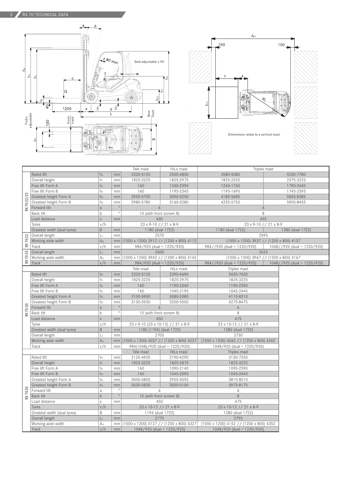



|            |                                    |                 |           | Tele mast                                   | HiLo mast | Triplex mast                                          |                  |                                 |  |
|------------|------------------------------------|-----------------|-----------|---------------------------------------------|-----------|-------------------------------------------------------|------------------|---------------------------------|--|
|            | Rated lift<br>h <sub>3</sub><br>mm |                 | 2320-5120 | 2500-4800                                   | 3580-5080 |                                                       | 5230-7780        |                                 |  |
|            | Overall height                     | h <sub>1</sub>  | mm        | 1825-3225                                   | 1825-2975 | 1825-2325                                             |                  | 2375-3225                       |  |
|            | Free lift Form A                   | h <sub>2</sub>  | mm        | 160                                         | 1240-2390 | 1240-1740                                             |                  | 1790-2640                       |  |
|            | Free lift Form B                   | h <sub>2</sub>  | mm        | 160                                         | 1195-2345 | 1195-1695                                             |                  | 1745-2595                       |  |
| RX70-22/25 | Greatest height Form A             | h <sub>4</sub>  | mm        | 2950-5750                                   | 3090-5250 | 4185-5685                                             |                  | 5835-8385                       |  |
|            | Greatest height Form B             | h <sub>4</sub>  | mm        | 2980-5780                                   | 3160-5280 | 4255-5755                                             |                  | 5905-8455                       |  |
|            | Forward tilt                       | a               | $\circ$   | 6                                           |           | 6                                                     |                  |                                 |  |
|            | Back tilt                          | b               | $\circ$   | 10 (with front screen 8)                    |           | 8                                                     |                  |                                 |  |
|            | Load distance                      | $\times$        | mm        | 430                                         |           | 455                                                   |                  |                                 |  |
|            | Tyres                              | v/h             |           | 23 x 9-10 // 21 x 8-9                       |           | 23 x 9-10 // 21 x 8-9                                 |                  |                                 |  |
|            | Greatest width (dual tyres)        | B               | mm        | 1180 (dual 1722)                            |           | 1180 (dual 1722)                                      | 1280 (dual 1722) |                                 |  |
|            | Overall length                     | L <sub>2</sub>  | mm        | 2570                                        |           | 2595                                                  |                  |                                 |  |
| RX 70-22   | Working aisle width                | Ast             |           | mm (1000 x 1200) 3912 // (1200 x 800) 4112  |           | (1000 x 1200) 3937 // (1200 x 800) 4137               |                  |                                 |  |
|            | Track                              | v/h             | mm        | 984/920 (dual = 1220/920)                   |           | $984 // 920$ (dual = 1220/920)                        |                  | 1048//920 (dual = 1220/920)     |  |
|            | Overall length                     | L <sub>2</sub>  | mm        | 2600                                        |           | 2625                                                  |                  |                                 |  |
| RX 70-25   | Working aisle width                | Ast             |           | mm (1000 x 1200) 3942 // (1200 x 800) 4142  |           | $(1000 \times 1200)$ 3967 // $(1200 \times 800)$ 4167 |                  |                                 |  |
|            | Track                              | v/h             | mm        | $984/920$ (dual = 1220/920)                 |           | $984 // 920$ (dual = 1220/920)                        |                  | $1048 // 920$ (dual = 1220/920) |  |
|            |                                    |                 |           | Tele mast                                   | HiLo mast | Triplex mast                                          |                  |                                 |  |
|            | Rated lift                         | h <sub>3</sub>  | mm        | 2320-5120                                   | 2390-4690 | 3430-7630                                             |                  |                                 |  |
|            | Overall height                     | h <sub>1</sub>  | mm        | 1825-3225                                   | 1825-2975 | 1825-3225                                             |                  |                                 |  |
|            | Free lift Form A                   | h <sub>2</sub>  | mm        | 160                                         | 1190-2340 | 1190-2590                                             |                  |                                 |  |
|            | Free lift Form B                   | h <sub>2</sub>  | mm        | 160                                         | 1045-2195 | 1045-2445                                             |                  |                                 |  |
|            | Greatest height Form A             | h <sub>4</sub>  | mm        | 3100-5900                                   | 3080-5380 | 4110-8310                                             |                  |                                 |  |
|            | Greatest height Form B             | h <sub>4</sub>  | mm        | 3130-5930                                   | 3200-5500 | 4275-8475                                             |                  |                                 |  |
|            | Forward tilt                       | a               | $\circ$   | 6                                           |           | 6                                                     |                  |                                 |  |
| RX 70-30   | Back tilt                          | b               | $\circ$   | 10 (with front screen 8)                    |           | 8                                                     |                  |                                 |  |
|            | Load distance                      | X               | mm        | 450                                         |           | 475                                                   |                  |                                 |  |
|            | Tyres                              | v/h             |           | 23 x 9-10 (23 x 10-12) // 21 x 8-9          |           | 23 x 10-12 // 21 x 8-9                                |                  |                                 |  |
|            | Greatest width (dual tyres)        | B               | mm        | 1180 (1194) (dual 1722)                     |           | 1280 (dual 1722)                                      |                  |                                 |  |
|            | Overall length                     | L <sub>2</sub>  | mm        | 2705                                        |           | 2730                                                  |                  |                                 |  |
|            | Working aisle width                | A <sub>st</sub> |           | mm (1000 x 1200) 4037 / / (1200 x 800) 4237 |           | $(1000 \times 1200)$ 4062 // $(1200 \times 800)$ 4262 |                  |                                 |  |
|            | Track                              | v/h             | mm        | 984(1048)/920 (dual = 1220/920)             |           | $1048/920$ (dual = 1220/920)                          |                  |                                 |  |
|            |                                    |                 |           | Tele mast                                   | HiLo mast | Triplex mast                                          |                  |                                 |  |
|            | Rated lift                         | hз              | mm        | 2120-4920                                   | 2190-4290 | 3130-7330                                             |                  |                                 |  |
|            | Overall height                     | $h_1$           | mm        | 1825-3225                                   | 1825-2875 | 1825-3225                                             |                  |                                 |  |
|            | Free lift Form A                   | h <sub>2</sub>  | mm        | 160                                         | 1090-2140 | 1090-2590                                             |                  |                                 |  |
|            | Free lift Form B                   | h <sub>2</sub>  | mm        | 160                                         | 1045-2095 | 1045-2445                                             |                  |                                 |  |
|            | Greatest height Form A             | h <sub>4</sub>  | mm        | 3000-5800                                   | 2955-5055 | 3810-8010                                             |                  |                                 |  |
|            | Greatest height Form B             | h <sub>4</sub>  | mm        | 3030-5830                                   | 3000-5100 | 3975-8175                                             |                  |                                 |  |
|            | Forward tilt                       | a               | $\circ$   | 6                                           |           | 6                                                     |                  |                                 |  |
| RX 70-35   | Back tilt                          | $\mathsf b$     | $\circ$   | 10 (with front screen 8)                    |           | $\,8\,$                                               |                  |                                 |  |
|            | Load distance                      | X               | mm        | 450                                         |           | 475                                                   |                  |                                 |  |
|            | Tyres                              | v/h             |           | 23 x 10-12 // 21 x 8-9                      |           | 23 x 10-12 // 21 x 8-9                                |                  |                                 |  |
|            | Greatest width (dual tyres)        | B               | mm        | 1194 (dual 1722)                            |           | 1280 (dual 1722)                                      |                  |                                 |  |
|            | Overall length                     | L <sub>2</sub>  | mm        | 2770                                        |           | 2795                                                  |                  |                                 |  |
|            | Working aisle width                | Ast             |           | mm (1000 x 1200) 4127 // (1200 x 800) 4327  |           | (1000 x 1200) 4152 // (1200 x 800) 4352               |                  |                                 |  |
|            | Track                              | v/h             | mm        | $1048/920$ (dual = 1220/920)                |           | $1048/920$ (dual = $1220/920$ )                       |                  |                                 |  |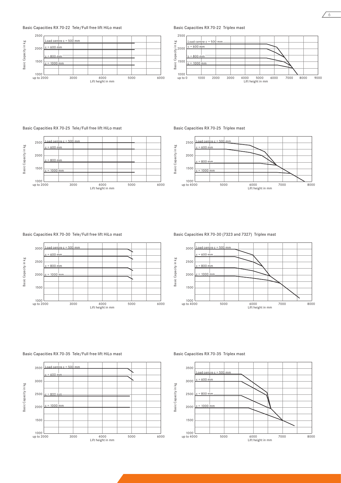#### Basic Capacities RX 70-22 Tele/Full free lift HiLo mast



Basic Capacities RX 70-22 Triplex mast



Basic Capacities RX 70-25 Tele/Full free lift HiLo mast



Basic Capacities RX 70-25 Triplex mast



#### Basic Capacities RX 70-30 Tele/Full free lift HiLo mast



Basic Capacities RX 70-30 (7323 and 7327) Triplex mast



#### Basic Capacities RX 70-35 Tele/Full free lift HiLo mast



#### Basic Capacities RX 70-35 Triplex mast



6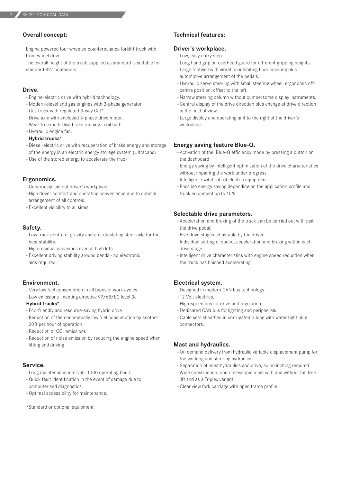7

# **Overall concept:**

Engine powered four wheeled counterbalance forklift truck with front wheel drive.

The overall height of the truck supplied as standard is suitable for standard 8'6" containers.

### **Drive.**

- Engine-electric drive with hybrid technology.
- Modern diesel and gas engines with 3-phase generator.
- Gas truck with regulated 3-way Cat\*.
- Drive axle with enclosed 3-phase drive motor.
- Wear-free multi-disc brake running in oil bath.
- Hydraulic engine fan.

#### **Hybrid trucks\***

- Diesel-electric drive with recuperation of brake energy and storage of the energy in an electric energy storage system (Ultracaps)
- Use of the stored energy to accelerate the truck

# **Ergonomics.**

- Generously laid out driver's workplace.
- High driver comfort and operating convenience due to optimal arrangement of all controls.
- Excellent visibility to all sides.

# **Safety.**

- Low truck centre of gravity and an articulating steer axle for the best stability.
- High residual capacities even at high lifts.
- Excellent driving stability around bends no electronic aids required.

#### **Environment.**

- Very low fuel consumption in all types of work cycles
- Low emissions meeting directive 97/68/EG level 3a

#### **Hybrid trucks\***

- Eco-friendly and resource-saving hybrid drive
- Reduction of the conceptually low fuel consumption by another 20% per hour of operation
- Reduction of  $CO<sub>2</sub>$  emissions
- Reduction of noise emission by reducing the engine speed when lifting and driving

#### **Service.**

- Long maintenance interval 1000 operating hours.
- Quick fault identification in the event of damage due to computerised diagnostics.
- Optimal accessibility for maintenance.
- \*Standard or optional equipment

# **Technical features:**

# **Driver's workplace.**

- Low, easy entry step.
- Long hand grip on overhead guard for different gripping heights.
- Large footwell with vibration inhibiting floor covering plus automotive arrangement of the pedals.
- Hydraulic servo steering with small steering wheel, ergonomic offcentre position, offset to the left.
- Narrow steering column without cumbersome display instruments.
- Central display of the drive direction plus change of drive direction in the field of view.
- Large display and operating unit to the right of the driver's workplace.

# **Energy saving feature Blue-Q.**

- Activation of the Blue-Q efficiency mode by pressing a button on the dashboard
- Energy saving by intelligent optimisation of the drive characteristics without impairing the work under progress
- Intelligent switch-off of electric equipment
- Possible energy saving depending on the application profile and truck equipment up to 10%

### **Selectable drive parameters.**

- Acceleration and braking of the truck can be carried out with just the drive pedal.
- Five drive stages adjustable by the driver.
- Individual setting of speed, acceleration and braking within each drive stage.
- Intelligent drive characteristics with engine speed reduction when the truck has finished accelerating.

# **Electrical system.**

- Designed in modern CAN bus technology.
- 12 Volt electrics.
- High-speed bus for drive unit regulation.
- Dedicated CAN bus for lighting and peripherals.
- Cable sets sheathed in corrugated tubing with water tight plug connectors.

# **Mast and hydraulics.**

- On demand delivery from hydraulic variable displacement pump for the working and steering hydraulics.
- Separation of hoist hydraulics and drive, so no inching required.
- Wide construction, open telescopic mast with and without full free lift and as a Triplex variant.
- Clear view fork carriage with open frame profile.